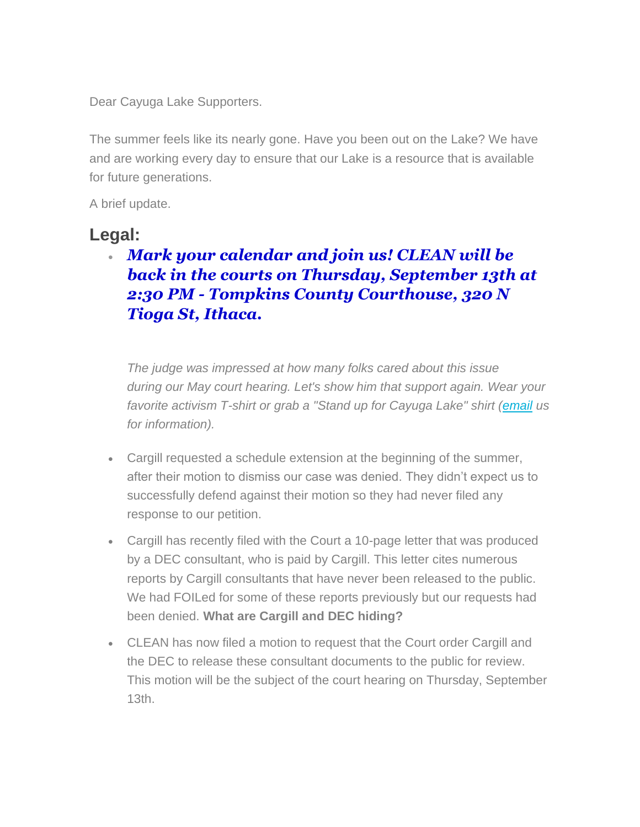Dear Cayuga Lake Supporters.

The summer feels like its nearly gone. Have you been out on the Lake? We have and are working every day to ensure that our Lake is a resource that is available for future generations.

A brief update.

## **Legal:**

## • *Mark your calendar and join us! CLEAN will be back in the courts on Thursday, September 13th at 2:30 PM - Tompkins County Courthouse, 320 N Tioga St, Ithaca.*

*The judge was impressed at how many folks cared about this issue during our May court hearing. Let's show him that support again. Wear your favorite activism T-shirt or grab a "Stand up for Cayuga Lake" shirt [\(email](mailto:CLEAN.cayugalake@gmail.com) us for information).*

- Cargill requested a schedule extension at the beginning of the summer, after their motion to dismiss our case was denied. They didn't expect us to successfully defend against their motion so they had never filed any response to our petition.
- Cargill has recently filed with the Court a 10-page letter that was produced by a DEC consultant, who is paid by Cargill. This letter cites numerous reports by Cargill consultants that have never been released to the public. We had FOILed for some of these reports previously but our requests had been denied. **What are Cargill and DEC hiding?**
- CLEAN has now filed a motion to request that the Court order Cargill and the DEC to release these consultant documents to the public for review. This motion will be the subject of the court hearing on Thursday, September 13th.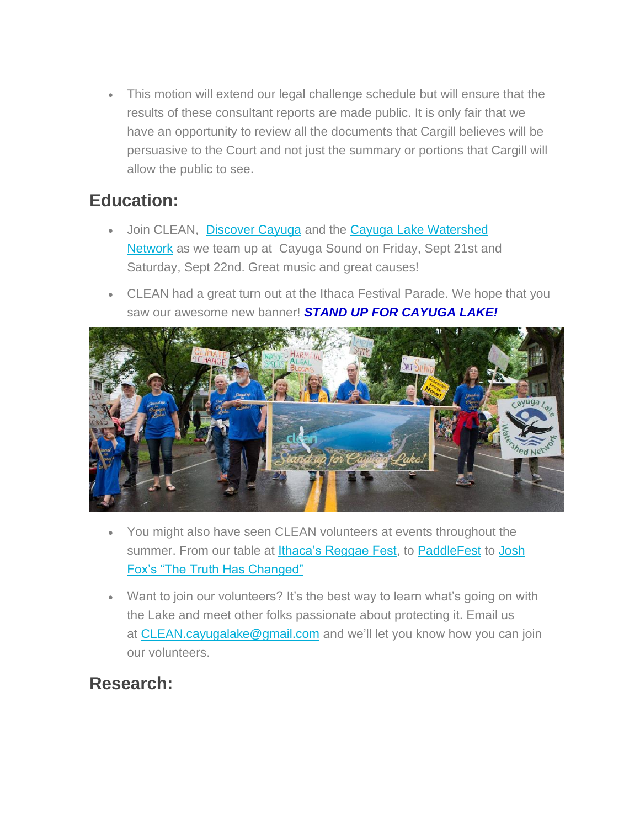• This motion will extend our legal challenge schedule but will ensure that the results of these consultant reports are made public. It is only fair that we have an opportunity to review all the documents that Cargill believes will be persuasive to the Court and not just the summary or portions that Cargill will allow the public to see.

## **Education:**

- Join CLEAN, [Discover](https://www.discovercayugalake.org/) Cayuga and the [Cayuga Lake Watershed](http://www.cayugalake.org/)  [Network](http://www.cayugalake.org/) as we team up at Cayuga Sound on Friday, Sept 21st and Saturday, Sept 22nd. Great music and great causes!
- CLEAN had a great turn out at the Ithaca Festival Parade. We hope that you saw our awesome new banner! *STAND UP FOR CAYUGA LAKE!*



- You might also have seen CLEAN volunteers at events throughout the summer. From our table at *Ithaca's Reggae Fest*, to **[PaddleFest](https://www.facebook.com/CayugaLakePaddleFest/photos/pcb.285006545591618/285005838925022/?type=3&theater)** to Josh [Fox's "The Truth Has Changed"](https://www.facebook.com/events/285138892068920/)
- Want to join our volunteers? It's the best way to learn what's going on with the Lake and meet other folks passionate about protecting it. Email us at [CLEAN.cayugalake@gmail.com](mailto:CLEAN.cayugalake@gmail.com) and we'll let you know how you can join our volunteers.

## **Research:**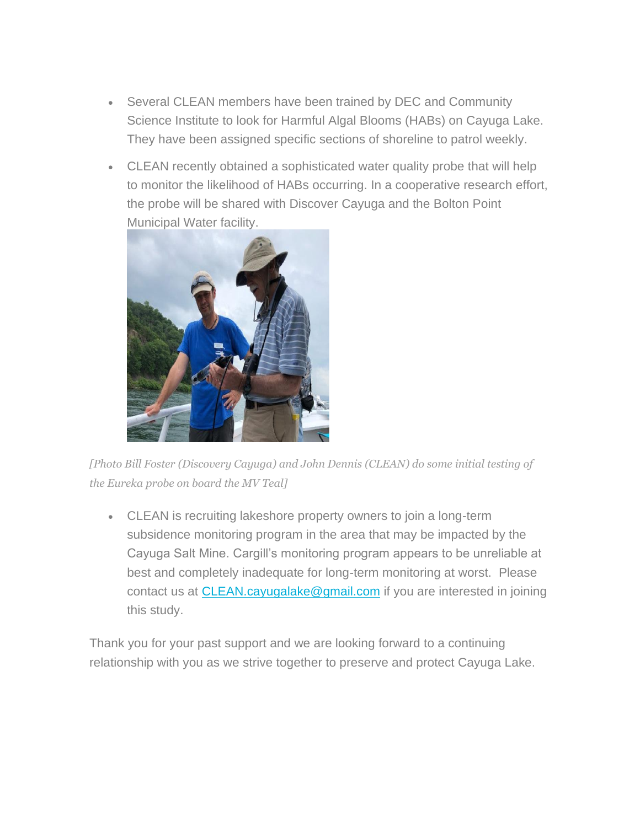- Several CLEAN members have been trained by DEC and Community Science Institute to look for Harmful Algal Blooms (HABs) on Cayuga Lake. They have been assigned specific sections of shoreline to patrol weekly.
- CLEAN recently obtained a sophisticated water quality probe that will help to monitor the likelihood of HABs occurring. In a cooperative research effort, the probe will be shared with Discover Cayuga and the Bolton Point Municipal Water facility.



*[Photo Bill Foster (Discovery Cayuga) and John Dennis (CLEAN) do some initial testing of the Eureka probe on board the MV Teal]*

• CLEAN is recruiting lakeshore property owners to join a long-term subsidence monitoring program in the area that may be impacted by the Cayuga Salt Mine. Cargill's monitoring program appears to be unreliable at best and completely inadequate for long-term monitoring at worst. Please contact us at [CLEAN.cayugalake@gmail.com](mailto:CLEAN.cayugalake@gmail.com) if you are interested in joining this study.

Thank you for your past support and we are looking forward to a continuing relationship with you as we strive together to preserve and protect Cayuga Lake.